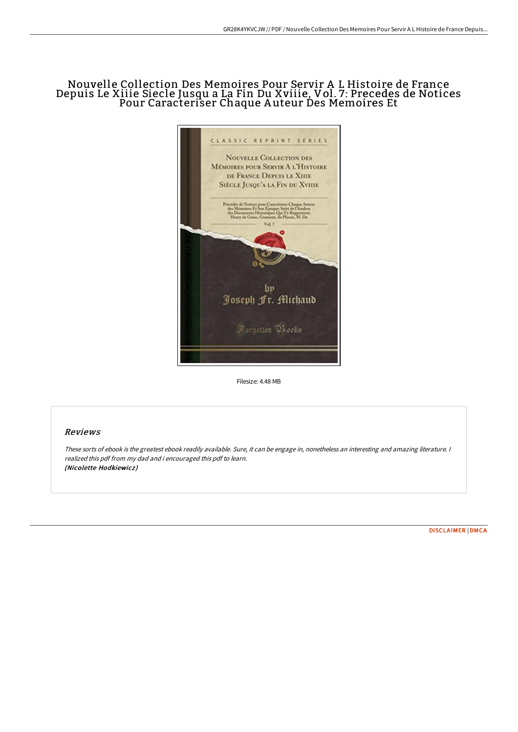## Nouvelle Collection Des Memoires Pour Servir A L Histoire de France Depuis Le Xiiie Siecle Jusqu a La Fin Du Xviiie, Vol. 7: Precedes de Notices Pour Caracteriser Chaque A uteur Des Memoires Et



Filesize: 4.48 MB

## Reviews

These sorts of ebook is the greatest ebook readily available. Sure, it can be engage in, nonetheless an interesting and amazing literature. <sup>I</sup> realized this pdf from my dad and i encouraged this pdf to learn. (Nicolette Hodkiewicz )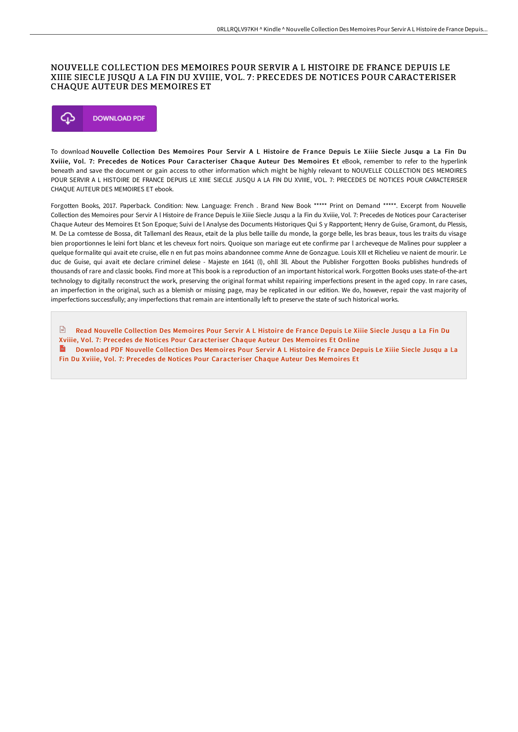## NOUVELLE COLLECTION DES MEMOIRES POUR SERVIR A L HISTOIRE DE FRANCE DEPUIS LE XIIIE SIECLE JUSQU A LA FIN DU XVIIIE, VOL. 7 : PRECEDES DE NOTICES POUR CARACTERISER CHAQUE AUTEUR DES MEMOIRES ET



To download Nouvelle Collection Des Memoires Pour Servir A L Histoire de France Depuis Le Xiiie Siecle Jusqu a La Fin Du Xviiie, Vol. 7: Precedes de Notices Pour Caracteriser Chaque Auteur Des Memoires Et eBook, remember to refer to the hyperlink beneath and save the document or gain access to other information which might be highly relevant to NOUVELLE COLLECTION DES MEMOIRES POUR SERVIR A L HISTOIRE DE FRANCE DEPUIS LE XIIIE SIECLE JUSQU A LA FIN DU XVIIIE, VOL. 7: PRECEDES DE NOTICES POUR CARACTERISER CHAQUE AUTEUR DES MEMOIRES ET ebook.

Forgotten Books, 2017. Paperback. Condition: New. Language: French . Brand New Book \*\*\*\*\* Print on Demand \*\*\*\*\*. Excerpt from Nouvelle Collection des Memoires pour Servir A l Histoire de France Depuis le Xiiie Siecle Jusqu a la Fin du Xviiie, Vol. 7: Precedes de Notices pour Caracteriser Chaque Auteur des Memoires Et Son Epoque; Suivi de l Analyse des Documents Historiques Qui S y Rapportent; Henry de Guise, Gramont, du Plessis, M. De La comtesse de Bossa, dit Tallemanl des Reaux, etait de la plus belle taille du monde, la gorge belle, les bras beaux, tous les traits du visage bien proportionnes le leini fort blanc et les cheveux fort noirs. Quoique son mariage eut ete confirme par l archeveque de Malines pour suppleer a quelque formalite qui avait ete cruise, elle n en fut pas moins abandonnee comme Anne de Gonzague. Louis XIII et Richelieu ve naient de mourir. Le duc de Guise, qui avait ete declare criminel delese - Majeste en 1641 (l), ohll 3ll. About the Publisher Forgotten Books publishes hundreds of thousands of rare and classic books. Find more at This book is a reproduction of an important historical work. Forgotten Books uses state-of-the-art technology to digitally reconstruct the work, preserving the original format whilst repairing imperfections present in the aged copy. In rare cases, an imperfection in the original, such as a blemish or missing page, may be replicated in our edition. We do, however, repair the vast majority of imperfections successfully; any imperfections that remain are intentionally left to preserve the state of such historical works.

Read Nouvelle Collection Des Memoires Pour Servir A L Histoire de France Depuis Le Xiiie Siecle Jusqu a La Fin Du Xviiie, Vol. 7: Precedes de Notices Pour [Caracteriser](http://www.bookdirs.com/nouvelle-collection-des-memoires-pour-servir-a-l.html) Chaque Auteur Des Memoires Et Online Download PDF Nouvelle Collection Des Memoires Pour Servir A L Histoire de France Depuis Le Xiiie Siecle Jusqu a La Fin Du Xviiie, Vol. 7: Precedes de Notices Pour [Caracteriser](http://www.bookdirs.com/nouvelle-collection-des-memoires-pour-servir-a-l.html) Chaque Auteur Des Memoires Et